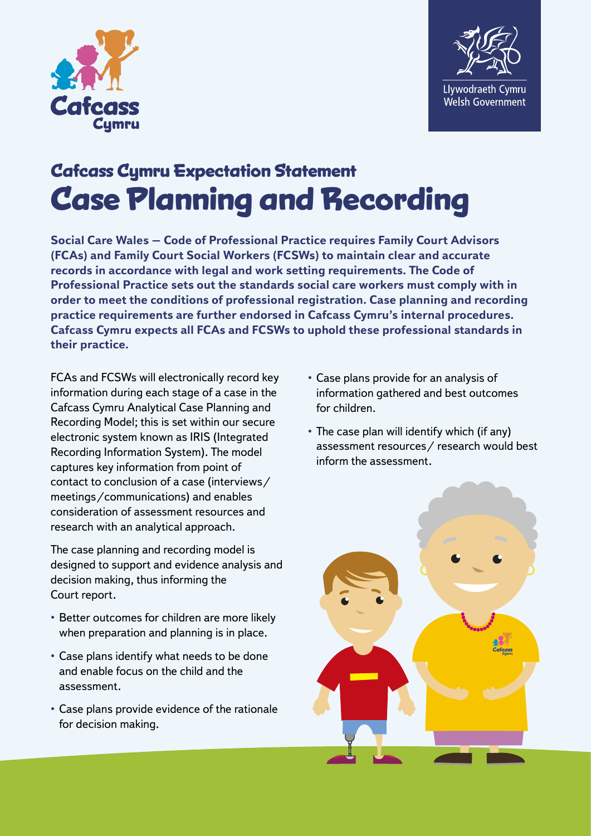



## **Cafcass Cymru Expectation Statement Case Planning and Recording**

**Social Care Wales – Code of Professional Practice requires Family Court Advisors (FCAs) and Family Court Social Workers (FCSWs) to maintain clear and accurate records in accordance with legal and work setting requirements. The Code of Professional Practice sets out the standards social care workers must comply with in order to meet the conditions of professional registration. Case planning and recording practice requirements are further endorsed in Cafcass Cymru's internal procedures. Cafcass Cymru expects all FCAs and FCSWs to uphold these professional standards in their practice.** 

FCAs and FCSWs will electronically record key information during each stage of a case in the Cafcass Cymru Analytical Case Planning and Recording Model; this is set within our secure electronic system known as IRIS (Integrated Recording Information System). The model captures key information from point of contact to conclusion of a case (interviews/ meetings/communications) and enables consideration of assessment resources and research with an analytical approach.

The case planning and recording model is designed to support and evidence analysis and decision making, thus informing the Court report.

- Better outcomes for children are more likely when preparation and planning is in place.
- Case plans identify what needs to be done and enable focus on the child and the assessment.
- Case plans provide evidence of the rationale for decision making.
- Case plans provide for an analysis of information gathered and best outcomes for children.
- The case plan will identify which (if any) assessment resources/ research would best inform the assessment.